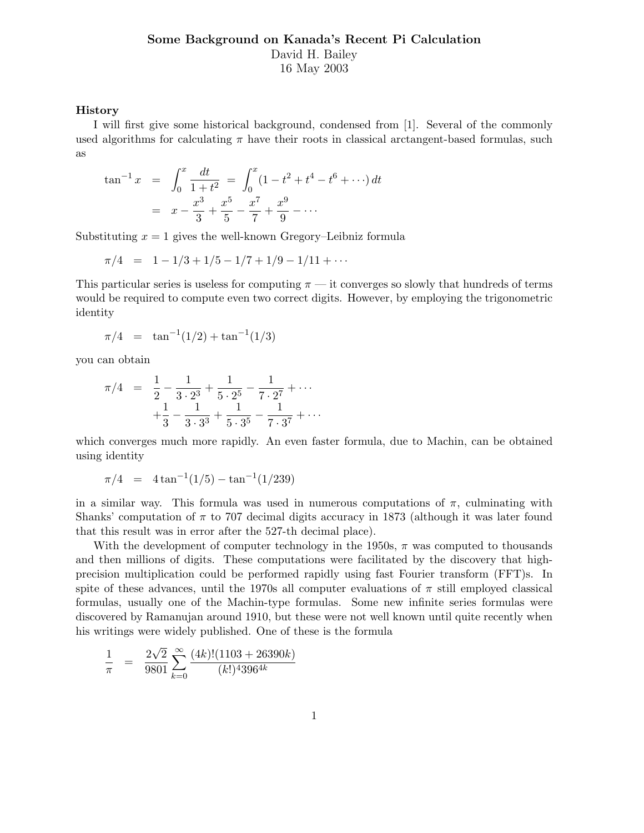## **Some Background on Kanada's Recent Pi Calculation** David H. Bailey 16 May 2003

#### **History**

I will first give some historical background, condensed from [1]. Several of the commonly used algorithms for calculating  $\pi$  have their roots in classical arctangent-based formulas, such as

$$
\tan^{-1} x = \int_0^x \frac{dt}{1+t^2} = \int_0^x (1-t^2+t^4-t^6+\cdots) dt
$$
  
=  $x - \frac{x^3}{3} + \frac{x^5}{5} - \frac{x^7}{7} + \frac{x^9}{9} - \cdots$ 

Substituting  $x = 1$  gives the well-known Gregory–Leibniz formula

$$
\pi/4 = 1 - 1/3 + 1/5 - 1/7 + 1/9 - 1/11 + \cdots
$$

This particular series is useless for computing  $\pi$  — it converges so slowly that hundreds of terms would be required to compute even two correct digits. However, by employing the trigonometric identity

$$
\pi/4 = \tan^{-1}(1/2) + \tan^{-1}(1/3)
$$

you can obtain

$$
\pi/4 = \frac{1}{2} - \frac{1}{3 \cdot 2^3} + \frac{1}{5 \cdot 2^5} - \frac{1}{7 \cdot 2^7} + \cdots
$$

$$
+ \frac{1}{3} - \frac{1}{3 \cdot 3^3} + \frac{1}{5 \cdot 3^5} - \frac{1}{7 \cdot 3^7} + \cdots
$$

which converges much more rapidly. An even faster formula, due to Machin, can be obtained using identity

$$
\pi/4 = 4 \tan^{-1}(1/5) - \tan^{-1}(1/239)
$$

in a similar way. This formula was used in numerous computations of  $\pi$ , culminating with Shanks' computation of  $\pi$  to 707 decimal digits accuracy in 1873 (although it was later found that this result was in error after the 527-th decimal place).

With the development of computer technology in the 1950s,  $\pi$  was computed to thousands and then millions of digits. These computations were facilitated by the discovery that highprecision multiplication could be performed rapidly using fast Fourier transform (FFT)s. In spite of these advances, until the 1970s all computer evaluations of  $\pi$  still employed classical formulas, usually one of the Machin-type formulas. Some new infinite series formulas were discovered by Ramanujan around 1910, but these were not well known until quite recently when his writings were widely published. One of these is the formula

$$
\frac{1}{\pi} = \frac{2\sqrt{2}}{9801} \sum_{k=0}^{\infty} \frac{(4k)!(1103 + 26390k)}{(k!)^4 396^{4k}}
$$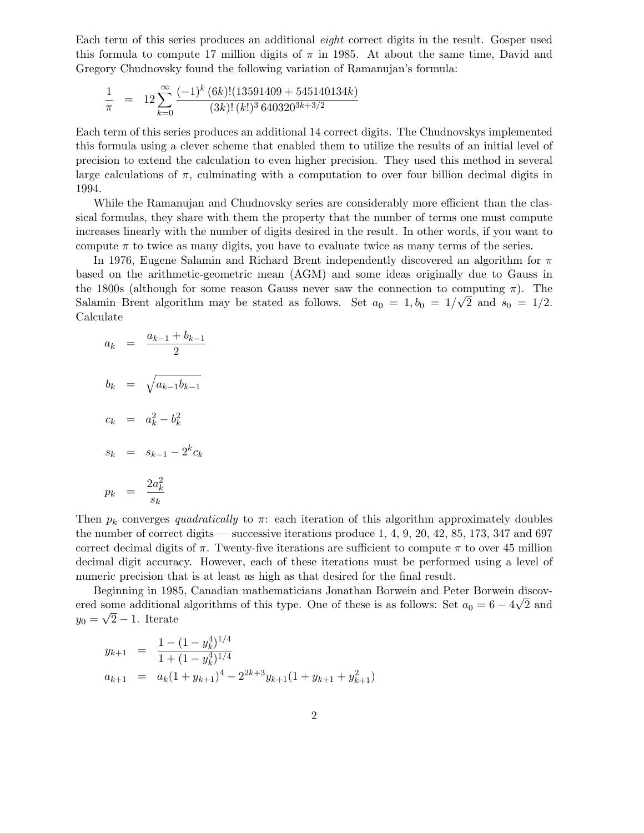Each term of this series produces an additional *eight* correct digits in the result. Gosper used this formula to compute 17 million digits of  $\pi$  in 1985. At about the same time, David and Gregory Chudnovsky found the following variation of Ramanujan's formula:

$$
\frac{1}{\pi} = 12 \sum_{k=0}^{\infty} \frac{(-1)^k (6k)! (13591409 + 545140134k)}{(3k)! (k!)^3 640320^{3k+3/2}}
$$

Each term of this series produces an additional 14 correct digits. The Chudnovskys implemented this formula using a clever scheme that enabled them to utilize the results of an initial level of precision to extend the calculation to even higher precision. They used this method in several large calculations of  $\pi$ , culminating with a computation to over four billion decimal digits in 1994.

While the Ramanujan and Chudnovsky series are considerably more efficient than the classical formulas, they share with them the property that the number of terms one must compute increases linearly with the number of digits desired in the result. In other words, if you want to compute  $\pi$  to twice as many digits, you have to evaluate twice as many terms of the series.

In 1976, Eugene Salamin and Richard Brent independently discovered an algorithm for  $\pi$ based on the arithmetic-geometric mean (AGM) and some ideas originally due to Gauss in the 1800s (although for some reason Gauss never saw the connection to computing  $\pi$ ). The Salamin–Brent algorithm may be stated as follows. Set  $a_0 = 1, b_0 = 1/\sqrt{2}$  and  $s_0 = 1/2$ . Calculate

$$
a_k = \frac{a_{k-1} + b_{k-1}}{2}
$$
  
\n
$$
b_k = \sqrt{a_{k-1}b_{k-1}}
$$
  
\n
$$
c_k = a_k^2 - b_k^2
$$
  
\n
$$
s_k = s_{k-1} - 2^k c_k
$$
  
\n
$$
p_k = \frac{2a_k^2}{s_k}
$$

Then  $p_k$  converges *quadratically* to  $\pi$ : each iteration of this algorithm approximately doubles the number of correct digits — successive iterations produce  $1, 4, 9, 20, 42, 85, 173, 347$  and 697 correct decimal digits of  $\pi$ . Twenty-five iterations are sufficient to compute  $\pi$  to over 45 million decimal digit accuracy. However, each of these iterations must be performed using a level of numeric precision that is at least as high as that desired for the final result.

Beginning in 1985, Canadian mathematicians Jonathan Borwein and Peter Borwein discovered some additional algorithms of this type. One of these is as follows: Set  $a_0 = 6 - 4\sqrt{2}$  and  $y_0 = \sqrt{2} - 1$ . Iterate

$$
y_{k+1} = \frac{1 - (1 - y_k^4)^{1/4}}{1 + (1 - y_k^4)^{1/4}}
$$
  
\n
$$
a_{k+1} = a_k (1 + y_{k+1})^4 - 2^{2k+3} y_{k+1} (1 + y_{k+1} + y_{k+1}^2)
$$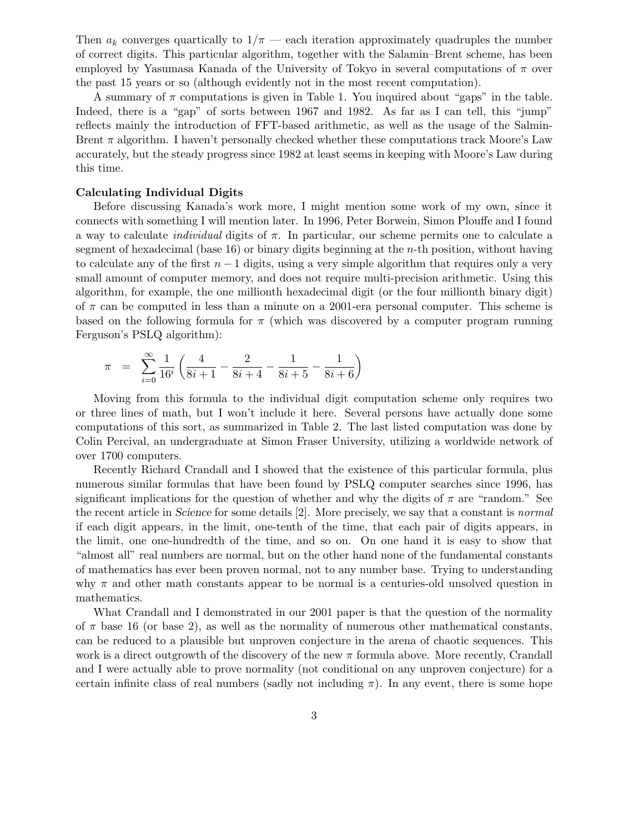Then  $a_k$  converges quartically to  $1/\pi$  — each iteration approximately quadruples the number of correct digits. This particular algorithm, together with the Salamin–Brent scheme, has been employed by Yasumasa Kanada of the University of Tokyo in several computations of  $\pi$  over the past 15 years or so (although evidently not in the most recent computation).

A summary of  $\pi$  computations is given in Table 1. You inquired about "gaps" in the table. Indeed, there is a "gap" of sorts between 1967 and 1982. As far as I can tell, this "jump" reflects mainly the introduction of FFT-based arithmetic, as well as the usage of the Salmin-Brent  $\pi$  algorithm. I haven't personally checked whether these computations track Moore's Law accurately, but the steady progress since 1982 at least seems in keeping with Moore's Law during this time.

## **Calculating Individual Digits**

Before discussing Kanada's work more, I might mention some work of my own, since it connects with something I will mention later. In 1996, Peter Borwein, Simon Plouffe and I found a way to calculate *individual* digits of π. In particular, our scheme permits one to calculate a segment of hexadecimal (base  $16$ ) or binary digits beginning at the *n*-th position, without having to calculate any of the first  $n-1$  digits, using a very simple algorithm that requires only a very small amount of computer memory, and does not require multi-precision arithmetic. Using this algorithm, for example, the one millionth hexadecimal digit (or the four millionth binary digit) of  $\pi$  can be computed in less than a minute on a 2001-era personal computer. This scheme is based on the following formula for  $\pi$  (which was discovered by a computer program running Ferguson's PSLQ algorithm):

$$
\pi = \sum_{i=0}^{\infty} \frac{1}{16^i} \left( \frac{4}{8i+1} - \frac{2}{8i+4} - \frac{1}{8i+5} - \frac{1}{8i+6} \right)
$$

Moving from this formula to the individual digit computation scheme only requires two or three lines of math, but I won't include it here. Several persons have actually done some computations of this sort, as summarized in Table 2. The last listed computation was done by Colin Percival, an undergraduate at Simon Fraser University, utilizing a worldwide network of over 1700 computers.

Recently Richard Crandall and I showed that the existence of this particular formula, plus numerous similar formulas that have been found by PSLQ computer searches since 1996, has significant implications for the question of whether and why the digits of  $\pi$  are "random." See the recent article in *Science* for some details [2]. More precisely, we say that a constant is *normal* if each digit appears, in the limit, one-tenth of the time, that each pair of digits appears, in the limit, one one-hundredth of the time, and so on. On one hand it is easy to show that "almost all" real numbers are normal, but on the other hand none of the fundamental constants of mathematics has ever been proven normal, not to any number base. Trying to understanding why  $\pi$  and other math constants appear to be normal is a centuries-old unsolved question in mathematics.

What Crandall and I demonstrated in our 2001 paper is that the question of the normality of  $\pi$  base 16 (or base 2), as well as the normality of numerous other mathematical constants, can be reduced to a plausible but unproven conjecture in the arena of chaotic sequences. This work is a direct outgrowth of the discovery of the new  $\pi$  formula above. More recently, Crandall and I were actually able to prove normality (not conditional on any unproven conjecture) for a certain infinite class of real numbers (sadly not including  $\pi$ ). In any event, there is some hope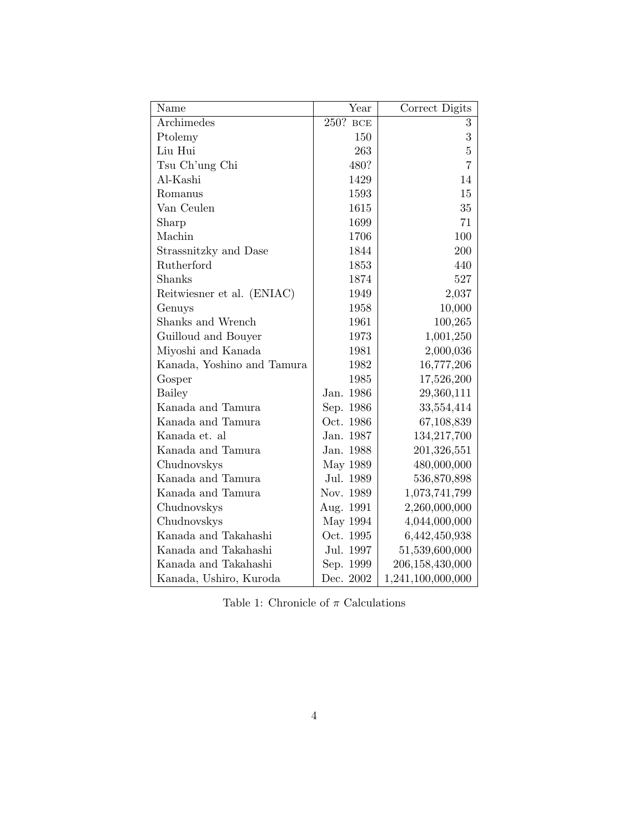| Name                       | Year        | Correct Digits    |
|----------------------------|-------------|-------------------|
| Archimedes                 | 250?<br>BCE | 3                 |
| Ptolemy                    | 150         | 3                 |
| Liu Hui                    | 263         | $\overline{5}$    |
| Tsu Ch'ung Chi             | 480?        | $\overline{7}$    |
| Al-Kashi                   | 1429        | 14                |
| Romanus                    | 1593        | 15                |
| Van Ceulen                 | 1615        | 35                |
| Sharp                      | 1699        | 71                |
| Machin                     | 1706        | 100               |
| Strassnitzky and Dase      | 1844        | 200               |
| Rutherford                 | 1853        | 440               |
| Shanks                     | 1874        | 527               |
| Reitwiesner et al. (ENIAC) | 1949        | 2,037             |
| Genuys                     | 1958        | 10,000            |
| Shanks and Wrench          | 1961        | 100,265           |
| Guilloud and Bouyer        | 1973        | 1,001,250         |
| Miyoshi and Kanada         | 1981        | 2,000,036         |
| Kanada, Yoshino and Tamura | 1982        | 16,777,206        |
| Gosper                     | 1985        | 17,526,200        |
| <b>Bailey</b>              | Jan. 1986   | 29,360,111        |
| Kanada and Tamura          | Sep. 1986   | 33,554,414        |
| Kanada and Tamura          | Oct. 1986   | 67,108,839        |
| Kanada et. al              | Jan. 1987   | 134,217,700       |
| Kanada and Tamura          | Jan. 1988   | 201,326,551       |
| Chudnovskys                | May 1989    | 480,000,000       |
| Kanada and Tamura          | Jul. 1989   | 536,870,898       |
| Kanada and Tamura          | Nov. 1989   | 1,073,741,799     |
| Chudnovskys                | Aug. 1991   | 2,260,000,000     |
| Chudnovskys                | May 1994    | 4,044,000,000     |
| Kanada and Takahashi       | Oct. 1995   | 6,442,450,938     |
| Kanada and Takahashi       | Jul. 1997   | 51,539,600,000    |
| Kanada and Takahashi       | Sep. 1999   | 206,158,430,000   |
| Kanada, Ushiro, Kuroda     | Dec. 2002   | 1,241,100,000,000 |

Table 1: Chronicle of  $\pi$  Calculations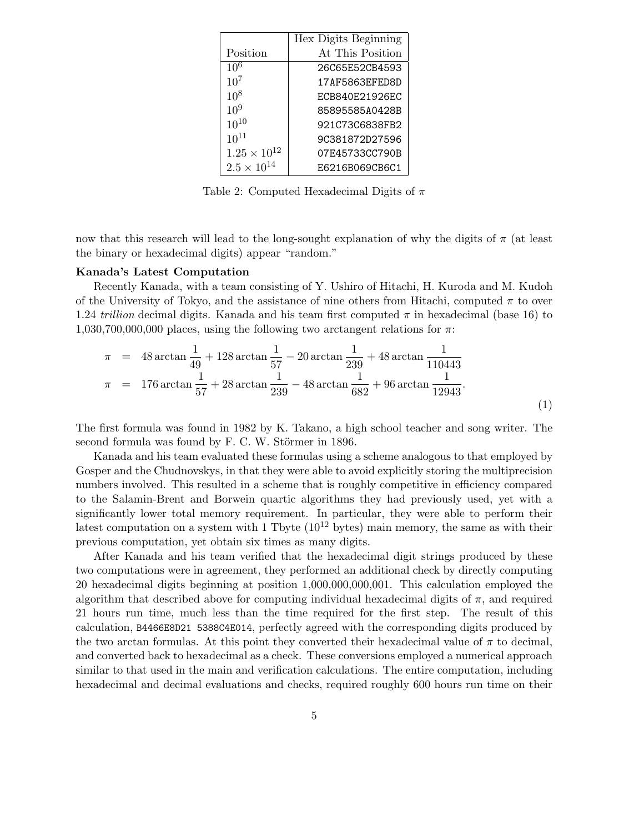|                      | Hex Digits Beginning |
|----------------------|----------------------|
| Position             | At This Position     |
| $10^{6}$             | 26C65E52CB4593       |
| $10^{7}$             | 17AF5863EFED8D       |
| $10^{8}$             | ECB840E21926EC       |
| $10^{9}$             | 85895585A0428B       |
| $10^{10}$            | 921C73C6838FB2       |
| $10^{11}$            | 9C381872D27596       |
| $1.25\times10^{12}$  | 07E45733CC790B       |
| $2.5 \times 10^{14}$ | E6216B069CB6C1       |

Table 2: Computed Hexadecimal Digits of  $\pi$ 

now that this research will lead to the long-sought explanation of why the digits of  $\pi$  (at least the binary or hexadecimal digits) appear "random."

#### **Kanada's Latest Computation**

Recently Kanada, with a team consisting of Y. Ushiro of Hitachi, H. Kuroda and M. Kudoh of the University of Tokyo, and the assistance of nine others from Hitachi, computed  $\pi$  to over 1.24 *trillion* decimal digits. Kanada and his team first computed  $\pi$  in hexadecimal (base 16) to 1,030,700,000,000 places, using the following two arctangent relations for  $\pi$ :

$$
\pi = 48 \arctan \frac{1}{49} + 128 \arctan \frac{1}{57} - 20 \arctan \frac{1}{239} + 48 \arctan \frac{1}{110443}
$$
  
\n
$$
\pi = 176 \arctan \frac{1}{57} + 28 \arctan \frac{1}{239} - 48 \arctan \frac{1}{682} + 96 \arctan \frac{1}{12943}.
$$
\n(1)

The first formula was found in 1982 by K. Takano, a high school teacher and song writer. The second formula was found by F. C. W. Störmer in 1896.

Kanada and his team evaluated these formulas using a scheme analogous to that employed by Gosper and the Chudnovskys, in that they were able to avoid explicitly storing the multiprecision numbers involved. This resulted in a scheme that is roughly competitive in efficiency compared to the Salamin-Brent and Borwein quartic algorithms they had previously used, yet with a significantly lower total memory requirement. In particular, they were able to perform their latest computation on a system with 1 Tbyte  $(10^{12}$  bytes) main memory, the same as with their previous computation, yet obtain six times as many digits.

After Kanada and his team verified that the hexadecimal digit strings produced by these two computations were in agreement, they performed an additional check by directly computing 20 hexadecimal digits beginning at position 1,000,000,000,001. This calculation employed the algorithm that described above for computing individual hexadecimal digits of  $\pi$ , and required 21 hours run time, much less than the time required for the first step. The result of this calculation, B4466E8D21 5388C4E014, perfectly agreed with the corresponding digits produced by the two arctan formulas. At this point they converted their hexadecimal value of  $\pi$  to decimal, and converted back to hexadecimal as a check. These conversions employed a numerical approach similar to that used in the main and verification calculations. The entire computation, including hexadecimal and decimal evaluations and checks, required roughly 600 hours run time on their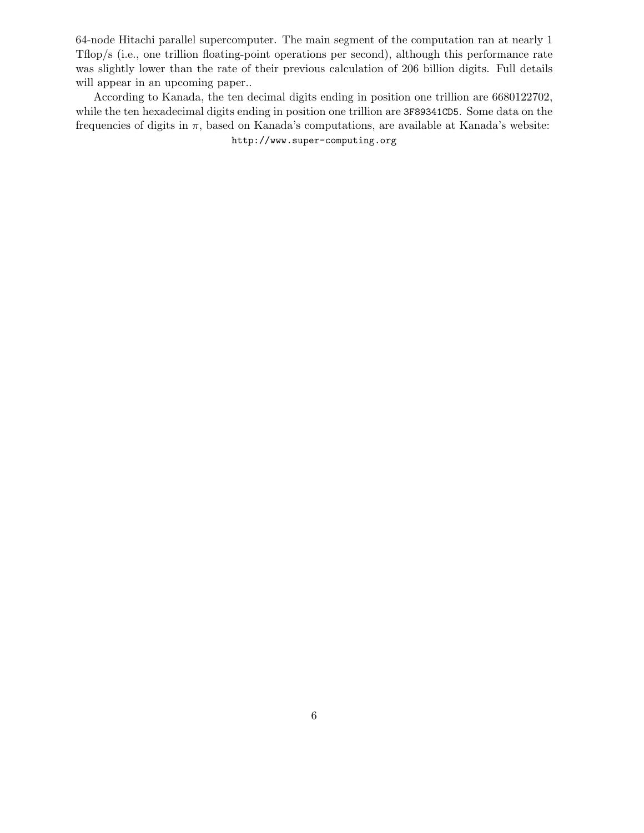64-node Hitachi parallel supercomputer. The main segment of the computation ran at nearly 1 Tflop/s (i.e., one trillion floating-point operations per second), although this performance rate was slightly lower than the rate of their previous calculation of 206 billion digits. Full details will appear in an upcoming paper..

According to Kanada, the ten decimal digits ending in position one trillion are 6680122702, while the ten hexadecimal digits ending in position one trillion are 3F89341CD5. Some data on the frequencies of digits in  $\pi$ , based on Kanada's computations, are available at Kanada's website:

http://www.super-computing.org